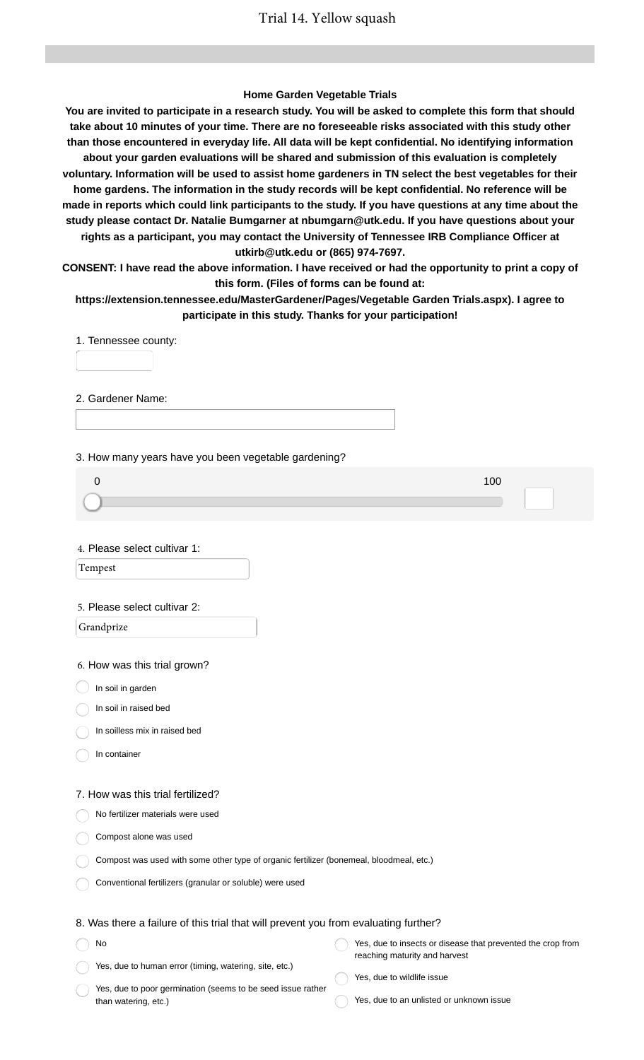### **Home Garden Vegetable Trials**

**You are invited to participate in a research study. You will be asked to complete this form that should take about 10 minutes of your time. There are no foreseeable risks associated with this study other than those encountered in everyday life. All data will be kept confidential. No identifying information about your garden evaluations will be shared and submission of this evaluation is completely voluntary. Information will be used to assist home gardeners in TN select the best vegetables for their home gardens. The information in the study records will be kept confidential. No reference will be made in reports which could link participants to the study. If you have questions at any time about the study please contact Dr. Natalie Bumgarner at nbumgarn@utk.edu. If you have questions about your rights as a participant, you may contact the University of Tennessee IRB Compliance Officer at utkirb@utk.edu or (865) 974-7697.**

**CONSENT: I have read the above information. I have received or had the opportunity to print a copy of this form. (Files of forms can be found at:**

**https://extension.tennessee.edu/MasterGardener/Pages/Vegetable Garden Trials.aspx). I agree to participate in this study. Thanks for your participation!**

1. Tennessee county:

2. Gardener Name:

3. How many years have you been vegetable gardening?

4. Please select cultivar 1:

Tempest

### 5. Please select cultivar 2:

Grandprize

6. How was this trial grown?

 $\big)$  In soil in garden

In soil in raised bed

In soilless mix in raised bed

In container

#### 7. How was this trial fertilized?

No fertilizer materials were used

Compost alone was used

| Compost was used with some other type of organic fertilizer (bonemeal, bloodmeal, etc.) |  |  |
|-----------------------------------------------------------------------------------------|--|--|
|-----------------------------------------------------------------------------------------|--|--|

Conventional fertilizers (granular or soluble) were used

### 8. Was there a failure of this trial that will prevent you from evaluating further?

No Yes, due to human error (timing, watering, site, etc.) Yes, due to insects or disease that prevented the crop from reaching maturity and harvest Yes, due to wildlife issue

Yes, due to poor germination (seems to be seed issue rather than watering, etc.)

- 
- Yes, due to an unlisted or unknown issue